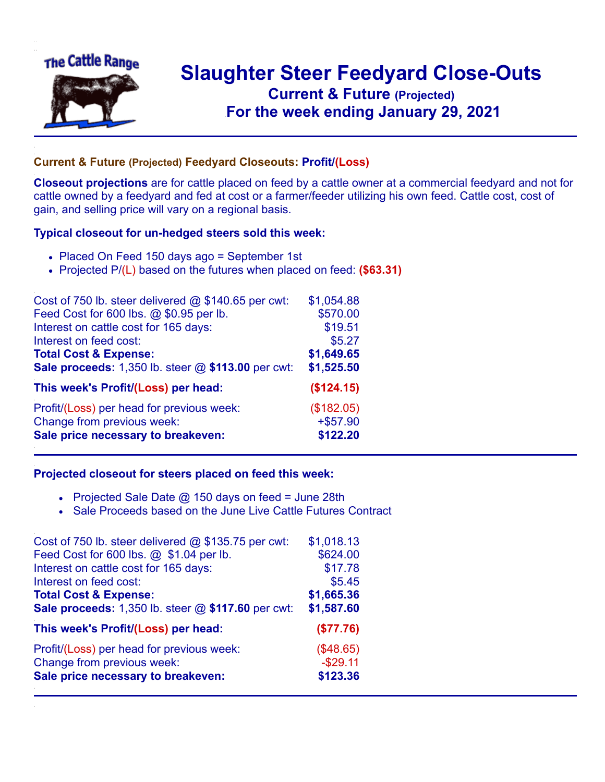

## **Slaughter Steer Feedyard Close-Outs Current & Future (Projected)** .**For the week ending January 29, 2021**

## **Current & Future (Projected) Feedyard Closeouts: Profit/(Loss)**

**Closeout projections** are for cattle placed on feed by a cattle owner at a commercial feedyard and not for cattle owned by a feedyard and fed at cost or a farmer/feeder utilizing his own feed. Cattle cost, cost of gain, and selling price will vary on a regional basis.

## **Typical closeout for un-hedged steers sold this week:**

- Placed On Feed 150 days ago = September 1st
- Projected P/(L) based on the futures when placed on feed: **(\$63.31)**

| Cost of 750 lb. steer delivered $@$ \$140.65 per cwt: | \$1,054.88 |
|-------------------------------------------------------|------------|
| Feed Cost for 600 lbs. @ \$0.95 per lb.               | \$570.00   |
| Interest on cattle cost for 165 days:                 | \$19.51    |
| Interest on feed cost:                                | \$5.27     |
| <b>Total Cost &amp; Expense:</b>                      | \$1,649.65 |
| Sale proceeds: 1,350 lb. steer @ \$113.00 per cwt:    | \$1,525.50 |
| This week's Profit/(Loss) per head:                   | (\$124.15) |
| Profit/(Loss) per head for previous week:             | (\$182.05) |
| Change from previous week:                            | $+ $57.90$ |
| Sale price necessary to breakeven:                    | \$122.20   |

## **Projected closeout for steers placed on feed this week:**

- Projected Sale Date  $@$  150 days on feed = June 28th
- Sale Proceeds based on the June Live Cattle Futures Contract

| Cost of 750 lb. steer delivered $@$ \$135.75 per cwt: | \$1,018.13 |
|-------------------------------------------------------|------------|
| Feed Cost for 600 lbs. @ \$1.04 per lb.               | \$624.00   |
| Interest on cattle cost for 165 days:                 | \$17.78    |
| Interest on feed cost:                                | \$5.45     |
| <b>Total Cost &amp; Expense:</b>                      | \$1,665.36 |
| Sale proceeds: 1,350 lb. steer @ \$117.60 per cwt:    | \$1,587.60 |
| This week's Profit/(Loss) per head:                   | (\$77.76)  |
| Profit/(Loss) per head for previous week:             | (\$48.65)  |
| Change from previous week:                            | $-$29.11$  |
| Sale price necessary to breakeven:                    | \$123.36   |